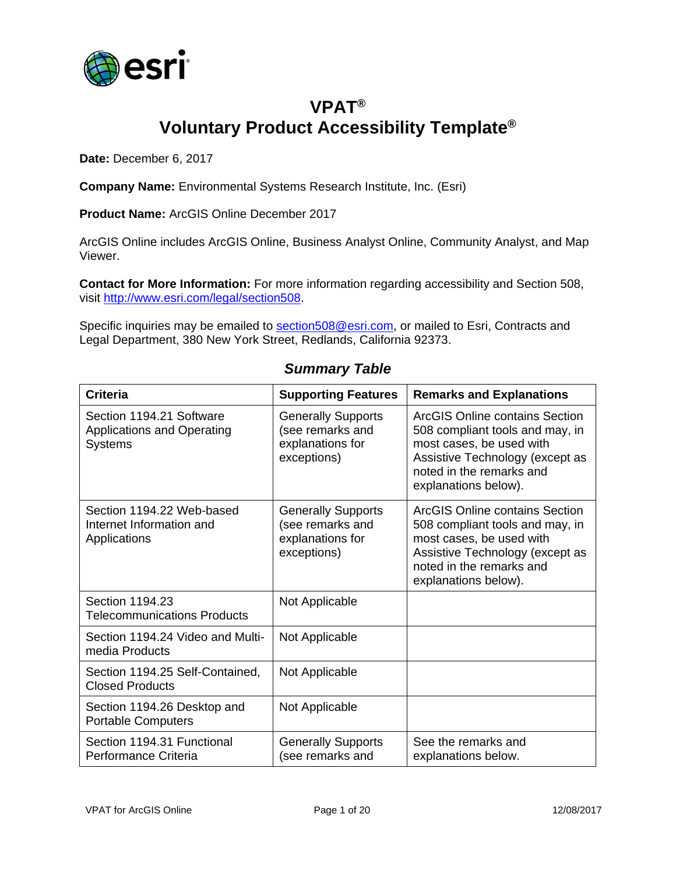

## **VPAT® Voluntary Product Accessibility Template®**

**Date:** December 6, 2017

**Company Name:** Environmental Systems Research Institute, Inc. (Esri)

**Product Name:** ArcGIS Online December 2017

ArcGIS Online includes ArcGIS Online, Business Analyst Online, Community Analyst, and Map Viewer.

**Contact for More Information:** For more information regarding accessibility and Section 508, visit [http://www.esri.com/legal/section508.](http://www.esri.com/legal/section508)

Specific inquiries may be emailed to [section508@esri.com,](mailto:section508@esri.com) or mailed to Esri, Contracts and Legal Department, 380 New York Street, Redlands, California 92373.

| <b>Criteria</b>                                                                 | <b>Supporting Features</b>                                                       | <b>Remarks and Explanations</b>                                                                                                                                                      |
|---------------------------------------------------------------------------------|----------------------------------------------------------------------------------|--------------------------------------------------------------------------------------------------------------------------------------------------------------------------------------|
| Section 1194.21 Software<br><b>Applications and Operating</b><br><b>Systems</b> | <b>Generally Supports</b><br>(see remarks and<br>explanations for<br>exceptions) | ArcGIS Online contains Section<br>508 compliant tools and may, in<br>most cases, be used with<br>Assistive Technology (except as<br>noted in the remarks and<br>explanations below). |
| Section 1194.22 Web-based<br>Internet Information and<br>Applications           | <b>Generally Supports</b><br>(see remarks and<br>explanations for<br>exceptions) | ArcGIS Online contains Section<br>508 compliant tools and may, in<br>most cases, be used with<br>Assistive Technology (except as<br>noted in the remarks and<br>explanations below). |
| Section 1194.23<br><b>Telecommunications Products</b>                           | Not Applicable                                                                   |                                                                                                                                                                                      |
| Section 1194.24 Video and Multi-<br>media Products                              | Not Applicable                                                                   |                                                                                                                                                                                      |
| Section 1194.25 Self-Contained,<br><b>Closed Products</b>                       | Not Applicable                                                                   |                                                                                                                                                                                      |
| Section 1194.26 Desktop and<br><b>Portable Computers</b>                        | Not Applicable                                                                   |                                                                                                                                                                                      |
| Section 1194.31 Functional<br>Performance Criteria                              | <b>Generally Supports</b><br>(see remarks and                                    | See the remarks and<br>explanations below.                                                                                                                                           |

#### *Summary Table*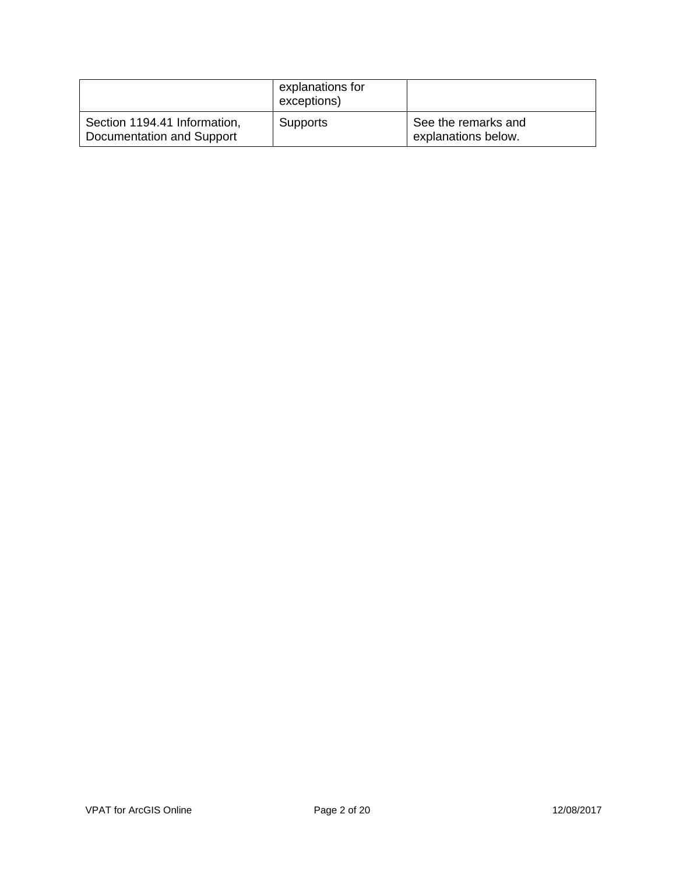|                                                           | explanations for<br>exceptions) |                                            |
|-----------------------------------------------------------|---------------------------------|--------------------------------------------|
| Section 1194.41 Information,<br>Documentation and Support | <b>Supports</b>                 | See the remarks and<br>explanations below. |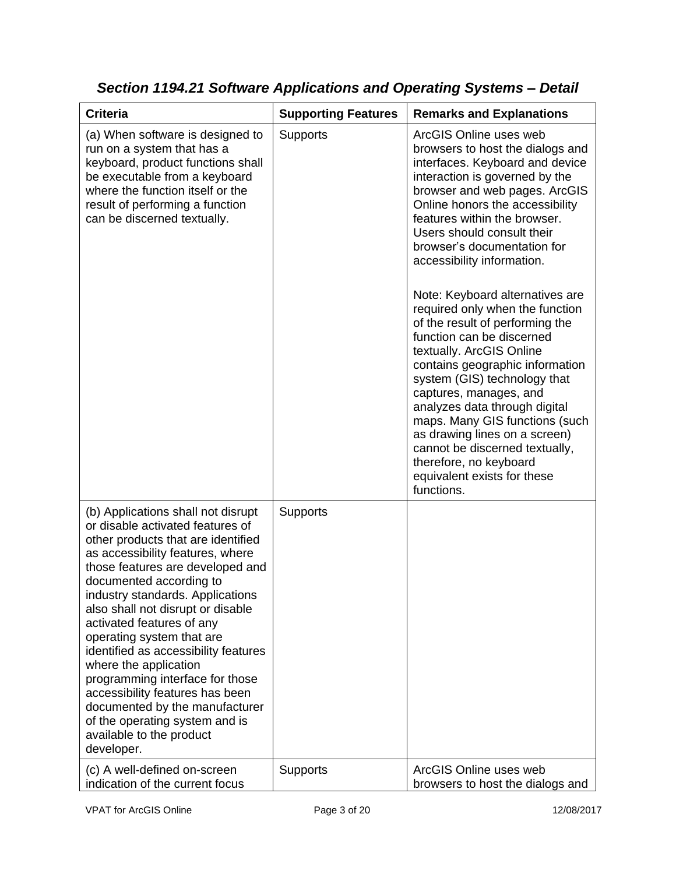| <b>Criteria</b>                                                                                                                                                                                                                                                                                                                                                                                                                                                                                                                                                                                         | <b>Supporting Features</b> | <b>Remarks and Explanations</b>                                                                                                                                                                                                                                                                                                                                                                                                                                                                                                                                                                                                                                                                                                                                                                            |
|---------------------------------------------------------------------------------------------------------------------------------------------------------------------------------------------------------------------------------------------------------------------------------------------------------------------------------------------------------------------------------------------------------------------------------------------------------------------------------------------------------------------------------------------------------------------------------------------------------|----------------------------|------------------------------------------------------------------------------------------------------------------------------------------------------------------------------------------------------------------------------------------------------------------------------------------------------------------------------------------------------------------------------------------------------------------------------------------------------------------------------------------------------------------------------------------------------------------------------------------------------------------------------------------------------------------------------------------------------------------------------------------------------------------------------------------------------------|
| (a) When software is designed to<br>run on a system that has a<br>keyboard, product functions shall<br>be executable from a keyboard<br>where the function itself or the<br>result of performing a function<br>can be discerned textually.                                                                                                                                                                                                                                                                                                                                                              | <b>Supports</b>            | ArcGIS Online uses web<br>browsers to host the dialogs and<br>interfaces. Keyboard and device<br>interaction is governed by the<br>browser and web pages. ArcGIS<br>Online honors the accessibility<br>features within the browser.<br>Users should consult their<br>browser's documentation for<br>accessibility information.<br>Note: Keyboard alternatives are<br>required only when the function<br>of the result of performing the<br>function can be discerned<br>textually. ArcGIS Online<br>contains geographic information<br>system (GIS) technology that<br>captures, manages, and<br>analyzes data through digital<br>maps. Many GIS functions (such<br>as drawing lines on a screen)<br>cannot be discerned textually,<br>therefore, no keyboard<br>equivalent exists for these<br>functions. |
| (b) Applications shall not disrupt<br>or disable activated features of<br>other products that are identified<br>as accessibility features, where<br>those features are developed and<br>documented according to<br>industry standards. Applications<br>also shall not disrupt or disable<br>activated features of any<br>operating system that are<br>identified as accessibility features<br>where the application<br>programming interface for those<br>accessibility features has been<br>documented by the manufacturer<br>of the operating system and is<br>available to the product<br>developer. | Supports                   |                                                                                                                                                                                                                                                                                                                                                                                                                                                                                                                                                                                                                                                                                                                                                                                                            |
| (c) A well-defined on-screen<br>indication of the current focus                                                                                                                                                                                                                                                                                                                                                                                                                                                                                                                                         | Supports                   | ArcGIS Online uses web<br>browsers to host the dialogs and                                                                                                                                                                                                                                                                                                                                                                                                                                                                                                                                                                                                                                                                                                                                                 |

*Section 1194.21 Software Applications and Operating Systems – Detail*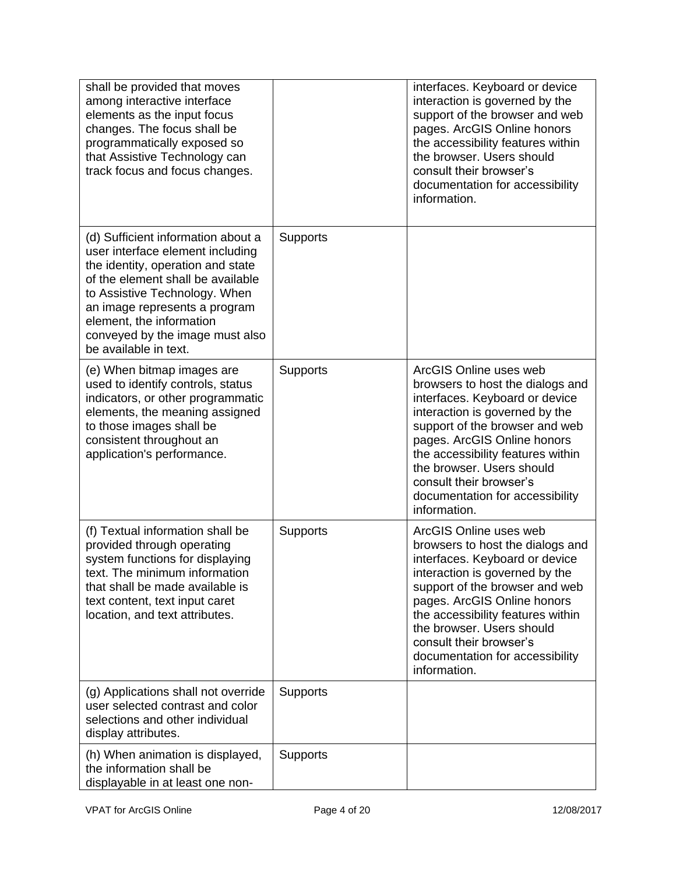| shall be provided that moves<br>among interactive interface<br>elements as the input focus<br>changes. The focus shall be<br>programmatically exposed so<br>that Assistive Technology can<br>track focus and focus changes.                                                                                |                 | interfaces. Keyboard or device<br>interaction is governed by the<br>support of the browser and web<br>pages. ArcGIS Online honors<br>the accessibility features within<br>the browser. Users should<br>consult their browser's<br>documentation for accessibility<br>information.                                                               |
|------------------------------------------------------------------------------------------------------------------------------------------------------------------------------------------------------------------------------------------------------------------------------------------------------------|-----------------|-------------------------------------------------------------------------------------------------------------------------------------------------------------------------------------------------------------------------------------------------------------------------------------------------------------------------------------------------|
| (d) Sufficient information about a<br>user interface element including<br>the identity, operation and state<br>of the element shall be available<br>to Assistive Technology. When<br>an image represents a program<br>element, the information<br>conveyed by the image must also<br>be available in text. | <b>Supports</b> |                                                                                                                                                                                                                                                                                                                                                 |
| (e) When bitmap images are<br>used to identify controls, status<br>indicators, or other programmatic<br>elements, the meaning assigned<br>to those images shall be<br>consistent throughout an<br>application's performance.                                                                               | <b>Supports</b> | ArcGIS Online uses web<br>browsers to host the dialogs and<br>interfaces. Keyboard or device<br>interaction is governed by the<br>support of the browser and web<br>pages. ArcGIS Online honors<br>the accessibility features within<br>the browser. Users should<br>consult their browser's<br>documentation for accessibility<br>information. |
| (f) Textual information shall be<br>provided through operating<br>system functions for displaying<br>text. The minimum information<br>that shall be made available is<br>text content, text input caret<br>location, and text attributes.                                                                  | <b>Supports</b> | ArcGIS Online uses web<br>browsers to host the dialogs and<br>interfaces. Keyboard or device<br>interaction is governed by the<br>support of the browser and web<br>pages. ArcGIS Online honors<br>the accessibility features within<br>the browser. Users should<br>consult their browser's<br>documentation for accessibility<br>information. |
| (g) Applications shall not override<br>user selected contrast and color<br>selections and other individual<br>display attributes.                                                                                                                                                                          | Supports        |                                                                                                                                                                                                                                                                                                                                                 |
| (h) When animation is displayed,<br>the information shall be<br>displayable in at least one non-                                                                                                                                                                                                           | <b>Supports</b> |                                                                                                                                                                                                                                                                                                                                                 |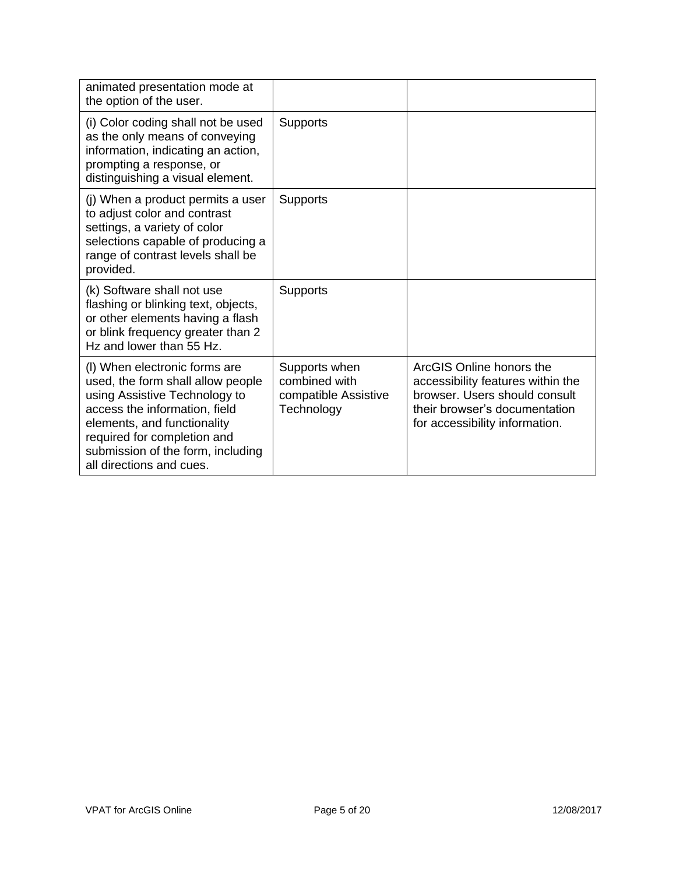| animated presentation mode at<br>the option of the user.                                                                                                                                                                                                            |                                                                      |                                                                                                                                                                   |
|---------------------------------------------------------------------------------------------------------------------------------------------------------------------------------------------------------------------------------------------------------------------|----------------------------------------------------------------------|-------------------------------------------------------------------------------------------------------------------------------------------------------------------|
| (i) Color coding shall not be used<br>as the only means of conveying<br>information, indicating an action,<br>prompting a response, or<br>distinguishing a visual element.                                                                                          | <b>Supports</b>                                                      |                                                                                                                                                                   |
| (j) When a product permits a user<br>to adjust color and contrast<br>settings, a variety of color<br>selections capable of producing a<br>range of contrast levels shall be<br>provided.                                                                            | <b>Supports</b>                                                      |                                                                                                                                                                   |
| (k) Software shall not use<br>flashing or blinking text, objects,<br>or other elements having a flash<br>or blink frequency greater than 2<br>Hz and lower than 55 Hz.                                                                                              | <b>Supports</b>                                                      |                                                                                                                                                                   |
| (I) When electronic forms are<br>used, the form shall allow people<br>using Assistive Technology to<br>access the information, field<br>elements, and functionality<br>required for completion and<br>submission of the form, including<br>all directions and cues. | Supports when<br>combined with<br>compatible Assistive<br>Technology | ArcGIS Online honors the<br>accessibility features within the<br>browser. Users should consult<br>their browser's documentation<br>for accessibility information. |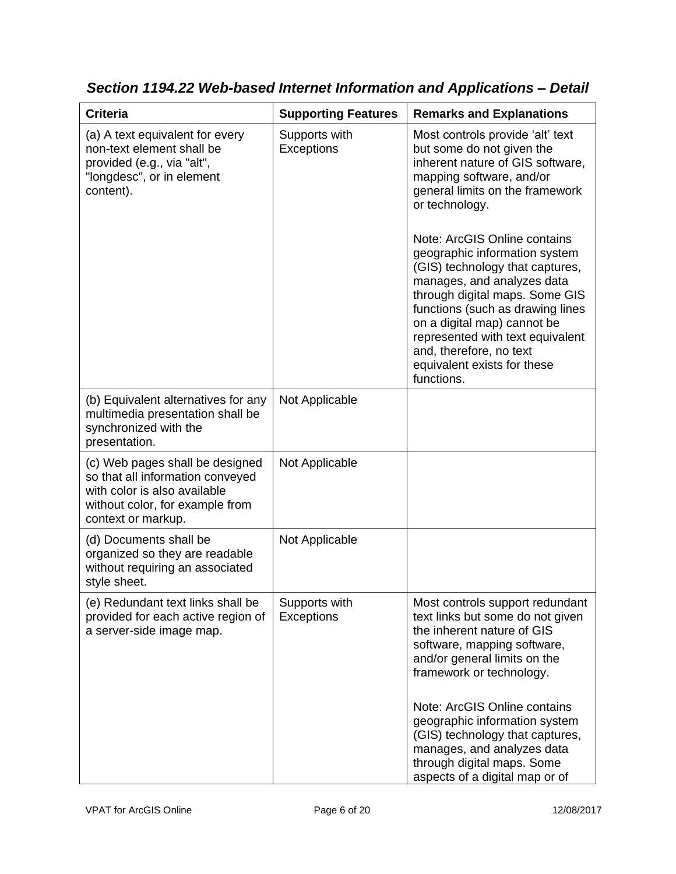| <b>Criteria</b>                                                                                                                                              | <b>Supporting Features</b>  | <b>Remarks and Explanations</b>                                                                                                                                                                                                                                                                                                                                                                                                                                                                                                       |
|--------------------------------------------------------------------------------------------------------------------------------------------------------------|-----------------------------|---------------------------------------------------------------------------------------------------------------------------------------------------------------------------------------------------------------------------------------------------------------------------------------------------------------------------------------------------------------------------------------------------------------------------------------------------------------------------------------------------------------------------------------|
| (a) A text equivalent for every<br>non-text element shall be<br>provided (e.g., via "alt",<br>"longdesc", or in element<br>content).                         | Supports with<br>Exceptions | Most controls provide 'alt' text<br>but some do not given the<br>inherent nature of GIS software,<br>mapping software, and/or<br>general limits on the framework<br>or technology.<br>Note: ArcGIS Online contains<br>geographic information system<br>(GIS) technology that captures,<br>manages, and analyzes data<br>through digital maps. Some GIS<br>functions (such as drawing lines<br>on a digital map) cannot be<br>represented with text equivalent<br>and, therefore, no text<br>equivalent exists for these<br>functions. |
| (b) Equivalent alternatives for any<br>multimedia presentation shall be<br>synchronized with the<br>presentation.                                            | Not Applicable              |                                                                                                                                                                                                                                                                                                                                                                                                                                                                                                                                       |
| (c) Web pages shall be designed<br>so that all information conveyed<br>with color is also available<br>without color, for example from<br>context or markup. | Not Applicable              |                                                                                                                                                                                                                                                                                                                                                                                                                                                                                                                                       |
| (d) Documents shall be<br>organized so they are readable<br>without requiring an associated<br>style sheet.                                                  | Not Applicable              |                                                                                                                                                                                                                                                                                                                                                                                                                                                                                                                                       |
| (e) Redundant text links shall be<br>provided for each active region of<br>a server-side image map.                                                          | Supports with<br>Exceptions | Most controls support redundant<br>text links but some do not given<br>the inherent nature of GIS<br>software, mapping software,<br>and/or general limits on the<br>framework or technology.<br>Note: ArcGIS Online contains<br>geographic information system                                                                                                                                                                                                                                                                         |
|                                                                                                                                                              |                             | (GIS) technology that captures,<br>manages, and analyzes data<br>through digital maps. Some<br>aspects of a digital map or of                                                                                                                                                                                                                                                                                                                                                                                                         |

*Section 1194.22 Web-based Internet Information and Applications – Detail*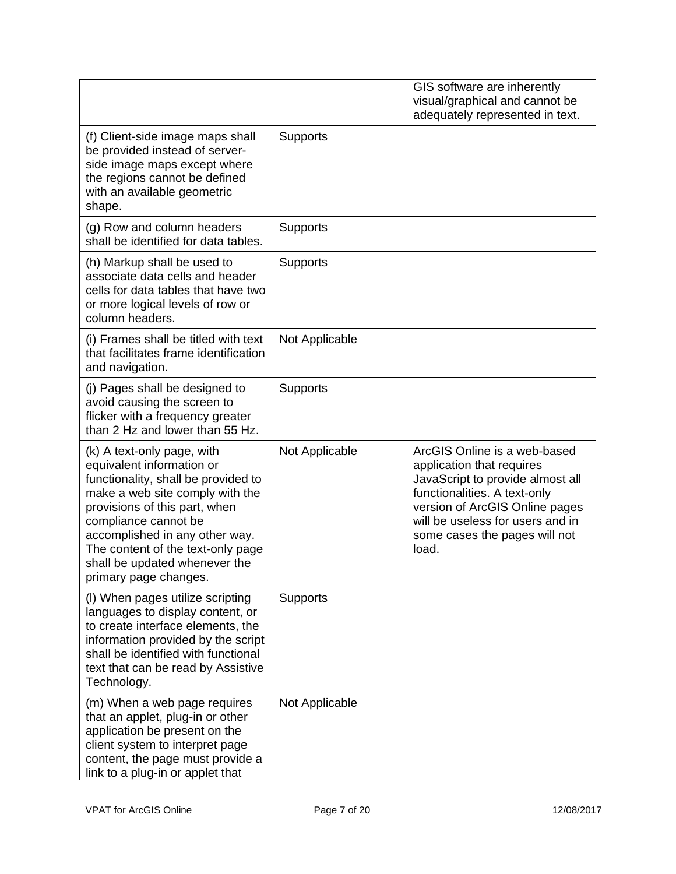|                                                                                                                                                                                                                                                                                                                             |                 | GIS software are inherently<br>visual/graphical and cannot be<br>adequately represented in text.                                                                                                                                              |
|-----------------------------------------------------------------------------------------------------------------------------------------------------------------------------------------------------------------------------------------------------------------------------------------------------------------------------|-----------------|-----------------------------------------------------------------------------------------------------------------------------------------------------------------------------------------------------------------------------------------------|
| (f) Client-side image maps shall<br>be provided instead of server-<br>side image maps except where<br>the regions cannot be defined<br>with an available geometric<br>shape.                                                                                                                                                | <b>Supports</b> |                                                                                                                                                                                                                                               |
| (g) Row and column headers<br>shall be identified for data tables.                                                                                                                                                                                                                                                          | <b>Supports</b> |                                                                                                                                                                                                                                               |
| (h) Markup shall be used to<br>associate data cells and header<br>cells for data tables that have two<br>or more logical levels of row or<br>column headers.                                                                                                                                                                | <b>Supports</b> |                                                                                                                                                                                                                                               |
| (i) Frames shall be titled with text<br>that facilitates frame identification<br>and navigation.                                                                                                                                                                                                                            | Not Applicable  |                                                                                                                                                                                                                                               |
| (j) Pages shall be designed to<br>avoid causing the screen to<br>flicker with a frequency greater<br>than 2 Hz and lower than 55 Hz.                                                                                                                                                                                        | <b>Supports</b> |                                                                                                                                                                                                                                               |
| (k) A text-only page, with<br>equivalent information or<br>functionality, shall be provided to<br>make a web site comply with the<br>provisions of this part, when<br>compliance cannot be<br>accomplished in any other way.<br>The content of the text-only page<br>shall be updated whenever the<br>primary page changes. | Not Applicable  | ArcGIS Online is a web-based<br>application that requires<br>JavaScript to provide almost all<br>functionalities. A text-only<br>version of ArcGIS Online pages<br>will be useless for users and in<br>some cases the pages will not<br>load. |
| (I) When pages utilize scripting<br>languages to display content, or<br>to create interface elements, the<br>information provided by the script<br>shall be identified with functional<br>text that can be read by Assistive<br>Technology.                                                                                 | <b>Supports</b> |                                                                                                                                                                                                                                               |
| (m) When a web page requires<br>that an applet, plug-in or other<br>application be present on the<br>client system to interpret page<br>content, the page must provide a<br>link to a plug-in or applet that                                                                                                                | Not Applicable  |                                                                                                                                                                                                                                               |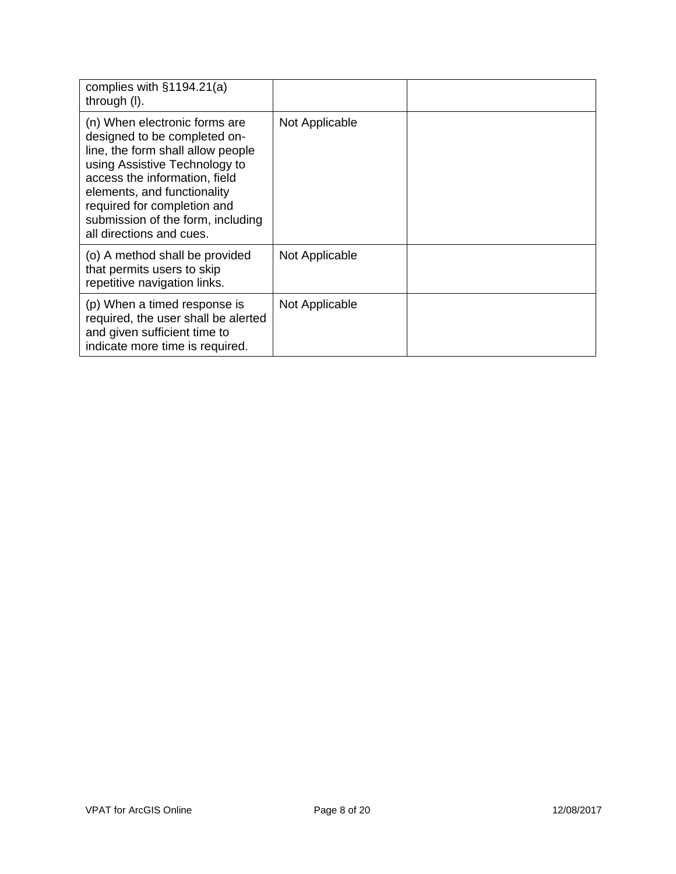| complies with $§1194.21(a)$<br>through (I).                                                                                                                                                                                                                                                         |                |  |
|-----------------------------------------------------------------------------------------------------------------------------------------------------------------------------------------------------------------------------------------------------------------------------------------------------|----------------|--|
| (n) When electronic forms are<br>designed to be completed on-<br>line, the form shall allow people<br>using Assistive Technology to<br>access the information, field<br>elements, and functionality<br>required for completion and<br>submission of the form, including<br>all directions and cues. | Not Applicable |  |
| (o) A method shall be provided<br>that permits users to skip<br>repetitive navigation links.                                                                                                                                                                                                        | Not Applicable |  |
| (p) When a timed response is<br>required, the user shall be alerted<br>and given sufficient time to<br>indicate more time is required.                                                                                                                                                              | Not Applicable |  |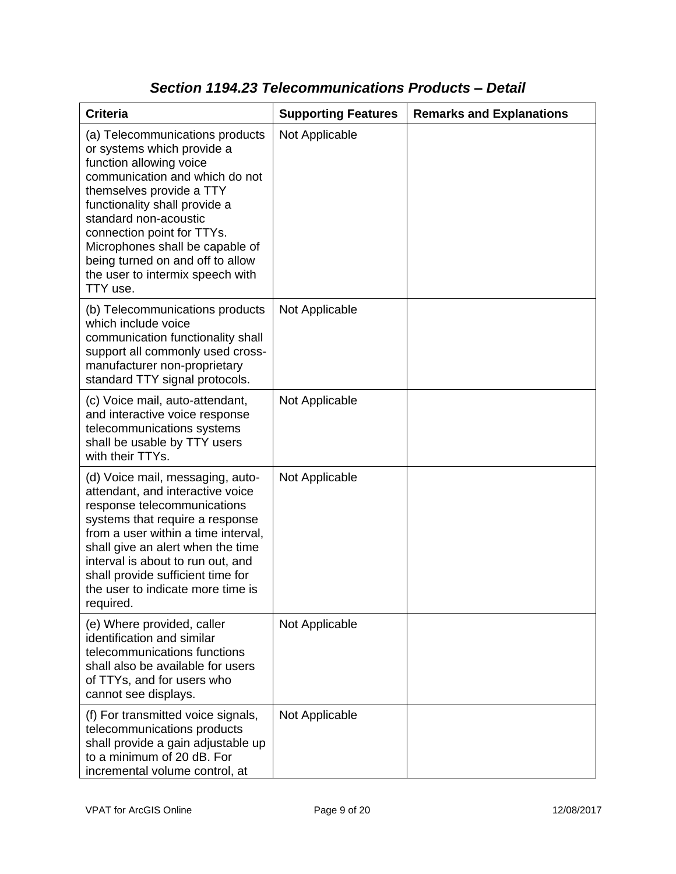| <b>Criteria</b>                                                                                                                                                                                                                                                                                                                                                       | <b>Supporting Features</b> | <b>Remarks and Explanations</b> |
|-----------------------------------------------------------------------------------------------------------------------------------------------------------------------------------------------------------------------------------------------------------------------------------------------------------------------------------------------------------------------|----------------------------|---------------------------------|
| (a) Telecommunications products<br>or systems which provide a<br>function allowing voice<br>communication and which do not<br>themselves provide a TTY<br>functionality shall provide a<br>standard non-acoustic<br>connection point for TTYs.<br>Microphones shall be capable of<br>being turned on and off to allow<br>the user to intermix speech with<br>TTY use. | Not Applicable             |                                 |
| (b) Telecommunications products<br>which include voice<br>communication functionality shall<br>support all commonly used cross-<br>manufacturer non-proprietary<br>standard TTY signal protocols.                                                                                                                                                                     | Not Applicable             |                                 |
| (c) Voice mail, auto-attendant,<br>and interactive voice response<br>telecommunications systems<br>shall be usable by TTY users<br>with their TTYs.                                                                                                                                                                                                                   | Not Applicable             |                                 |
| (d) Voice mail, messaging, auto-<br>attendant, and interactive voice<br>response telecommunications<br>systems that require a response<br>from a user within a time interval,<br>shall give an alert when the time<br>interval is about to run out, and<br>shall provide sufficient time for<br>the user to indicate more time is<br>required.                        | Not Applicable             |                                 |
| (e) Where provided, caller<br>identification and similar<br>telecommunications functions<br>shall also be available for users<br>of TTYs, and for users who<br>cannot see displays.                                                                                                                                                                                   | Not Applicable             |                                 |
| (f) For transmitted voice signals,<br>telecommunications products<br>shall provide a gain adjustable up<br>to a minimum of 20 dB. For<br>incremental volume control, at                                                                                                                                                                                               | Not Applicable             |                                 |

### *Section 1194.23 Telecommunications Products – Detail*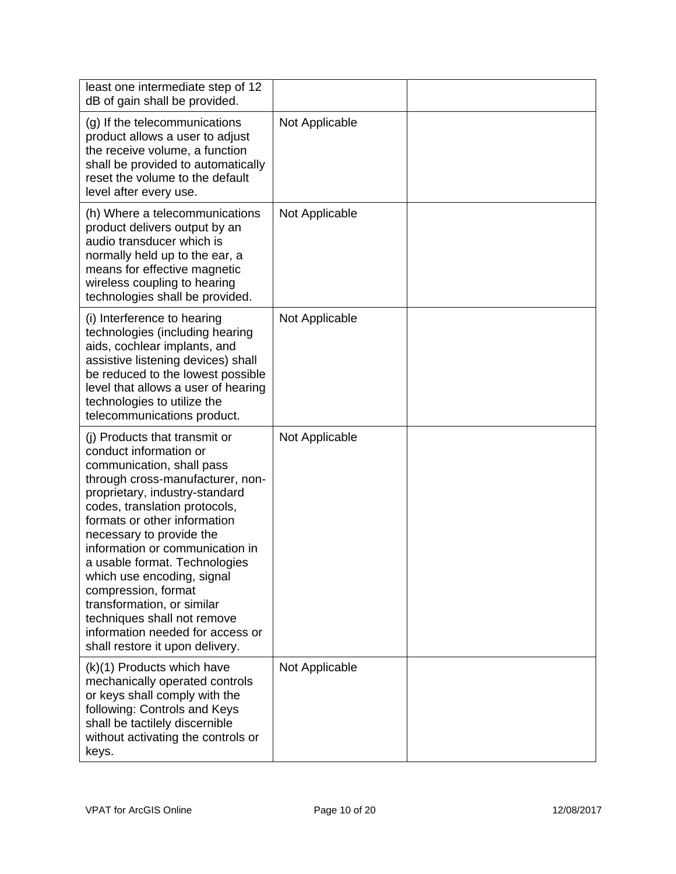| least one intermediate step of 12<br>dB of gain shall be provided.                                                                                                                                                                                                                                                                                                                                                                                                                                                   |                |  |
|----------------------------------------------------------------------------------------------------------------------------------------------------------------------------------------------------------------------------------------------------------------------------------------------------------------------------------------------------------------------------------------------------------------------------------------------------------------------------------------------------------------------|----------------|--|
| (g) If the telecommunications<br>product allows a user to adjust<br>the receive volume, a function<br>shall be provided to automatically<br>reset the volume to the default<br>level after every use.                                                                                                                                                                                                                                                                                                                | Not Applicable |  |
| (h) Where a telecommunications<br>product delivers output by an<br>audio transducer which is<br>normally held up to the ear, a<br>means for effective magnetic<br>wireless coupling to hearing<br>technologies shall be provided.                                                                                                                                                                                                                                                                                    | Not Applicable |  |
| (i) Interference to hearing<br>technologies (including hearing<br>aids, cochlear implants, and<br>assistive listening devices) shall<br>be reduced to the lowest possible<br>level that allows a user of hearing<br>technologies to utilize the<br>telecommunications product.                                                                                                                                                                                                                                       | Not Applicable |  |
| (i) Products that transmit or<br>conduct information or<br>communication, shall pass<br>through cross-manufacturer, non-<br>proprietary, industry-standard<br>codes, translation protocols,<br>formats or other information<br>necessary to provide the<br>information or communication in<br>a usable format. Technologies<br>which use encoding, signal<br>compression, format<br>transformation, or similar<br>techniques shall not remove<br>information needed for access or<br>shall restore it upon delivery. | Not Applicable |  |
| (k)(1) Products which have<br>mechanically operated controls<br>or keys shall comply with the<br>following: Controls and Keys<br>shall be tactilely discernible<br>without activating the controls or<br>keys.                                                                                                                                                                                                                                                                                                       | Not Applicable |  |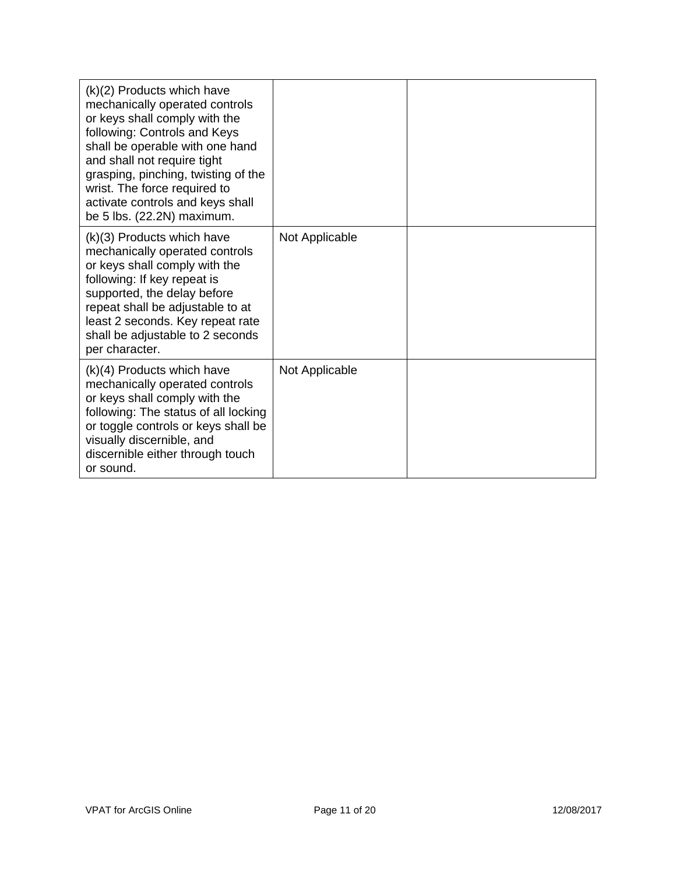| $(k)(2)$ Products which have<br>mechanically operated controls<br>or keys shall comply with the<br>following: Controls and Keys<br>shall be operable with one hand<br>and shall not require tight<br>grasping, pinching, twisting of the<br>wrist. The force required to<br>activate controls and keys shall<br>be 5 lbs. (22.2N) maximum. |                |  |
|--------------------------------------------------------------------------------------------------------------------------------------------------------------------------------------------------------------------------------------------------------------------------------------------------------------------------------------------|----------------|--|
| $(k)(3)$ Products which have<br>mechanically operated controls<br>or keys shall comply with the<br>following: If key repeat is<br>supported, the delay before<br>repeat shall be adjustable to at<br>least 2 seconds. Key repeat rate<br>shall be adjustable to 2 seconds<br>per character.                                                | Not Applicable |  |
| $(k)(4)$ Products which have<br>mechanically operated controls<br>or keys shall comply with the<br>following: The status of all locking<br>or toggle controls or keys shall be<br>visually discernible, and<br>discernible either through touch<br>or sound.                                                                               | Not Applicable |  |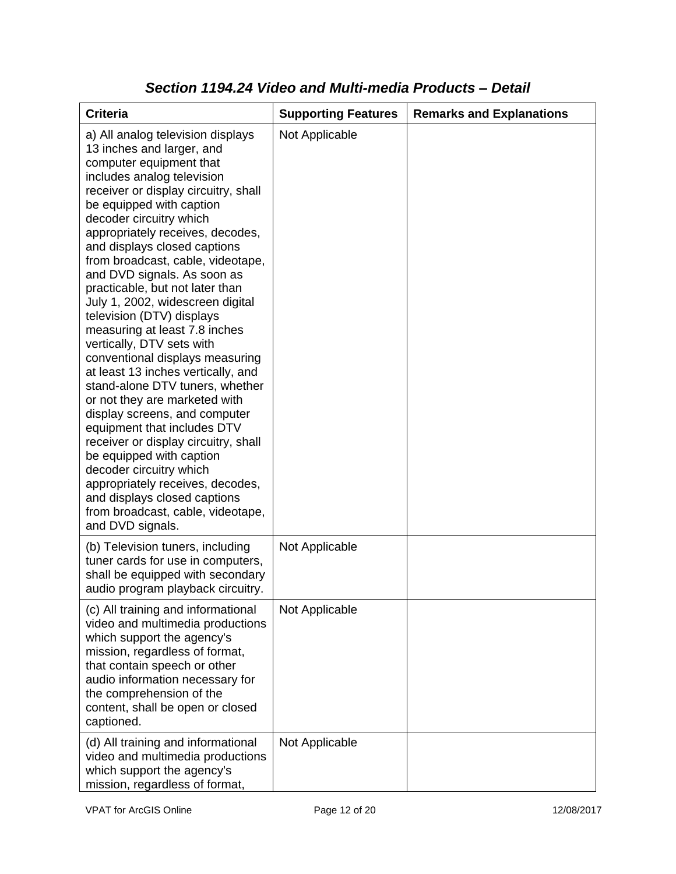| <b>Criteria</b>                                                                                                                                                                                                                                                                                                                                                                                                                                                                                                                                                                                                                                                                                                                                                                                                                                                                                                                                                           | <b>Supporting Features</b> | <b>Remarks and Explanations</b> |
|---------------------------------------------------------------------------------------------------------------------------------------------------------------------------------------------------------------------------------------------------------------------------------------------------------------------------------------------------------------------------------------------------------------------------------------------------------------------------------------------------------------------------------------------------------------------------------------------------------------------------------------------------------------------------------------------------------------------------------------------------------------------------------------------------------------------------------------------------------------------------------------------------------------------------------------------------------------------------|----------------------------|---------------------------------|
| a) All analog television displays<br>13 inches and larger, and<br>computer equipment that<br>includes analog television<br>receiver or display circuitry, shall<br>be equipped with caption<br>decoder circuitry which<br>appropriately receives, decodes,<br>and displays closed captions<br>from broadcast, cable, videotape,<br>and DVD signals. As soon as<br>practicable, but not later than<br>July 1, 2002, widescreen digital<br>television (DTV) displays<br>measuring at least 7.8 inches<br>vertically, DTV sets with<br>conventional displays measuring<br>at least 13 inches vertically, and<br>stand-alone DTV tuners, whether<br>or not they are marketed with<br>display screens, and computer<br>equipment that includes DTV<br>receiver or display circuitry, shall<br>be equipped with caption<br>decoder circuitry which<br>appropriately receives, decodes,<br>and displays closed captions<br>from broadcast, cable, videotape,<br>and DVD signals. | Not Applicable             |                                 |
| (b) Television tuners, including<br>tuner cards for use in computers,<br>shall be equipped with secondary<br>audio program playback circuitry.                                                                                                                                                                                                                                                                                                                                                                                                                                                                                                                                                                                                                                                                                                                                                                                                                            | Not Applicable             |                                 |
| (c) All training and informational<br>video and multimedia productions<br>which support the agency's<br>mission, regardless of format,<br>that contain speech or other<br>audio information necessary for<br>the comprehension of the<br>content, shall be open or closed<br>captioned.                                                                                                                                                                                                                                                                                                                                                                                                                                                                                                                                                                                                                                                                                   | Not Applicable             |                                 |
| (d) All training and informational<br>video and multimedia productions<br>which support the agency's<br>mission, regardless of format,                                                                                                                                                                                                                                                                                                                                                                                                                                                                                                                                                                                                                                                                                                                                                                                                                                    | Not Applicable             |                                 |

### *Section 1194.24 Video and Multi-media Products – Detail*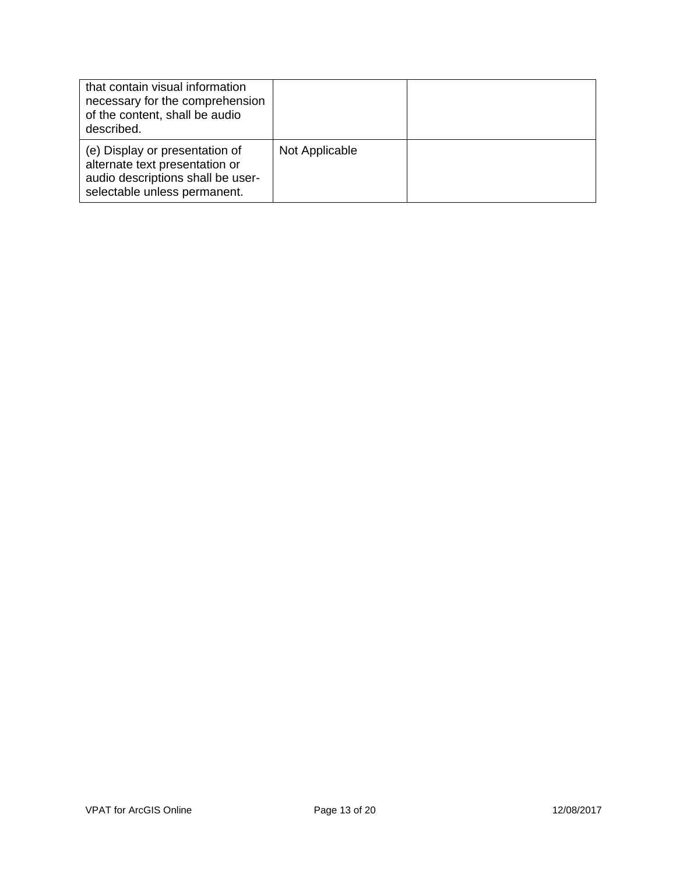| that contain visual information<br>necessary for the comprehension<br>of the content, shall be audio<br>described.                    |                |  |
|---------------------------------------------------------------------------------------------------------------------------------------|----------------|--|
| (e) Display or presentation of<br>alternate text presentation or<br>audio descriptions shall be user-<br>selectable unless permanent. | Not Applicable |  |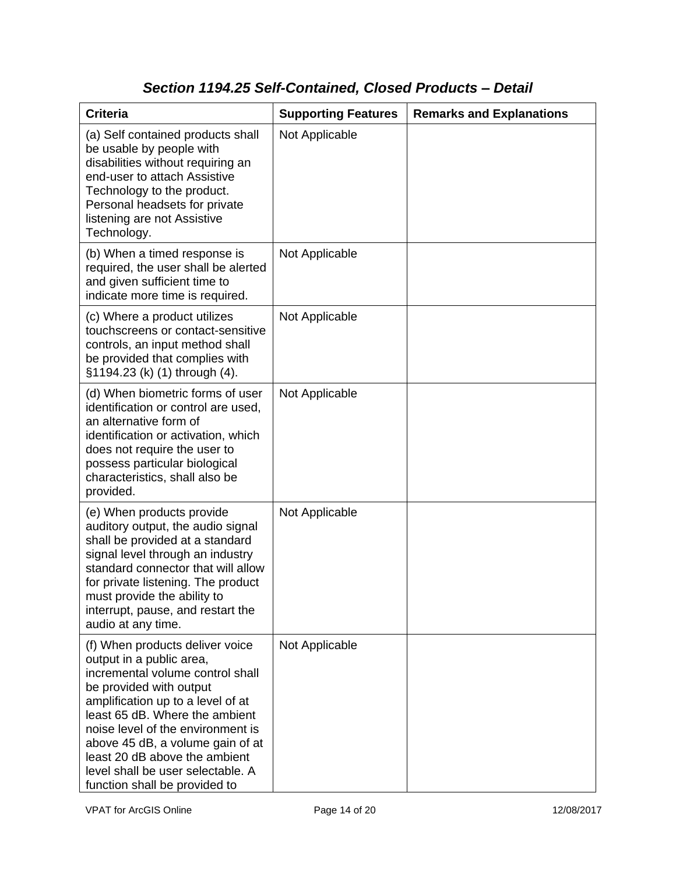# *Section 1194.25 Self-Contained, Closed Products – Detail*

| <b>Criteria</b>                                                                                                                                                                                                                                                                                                                                                                   | <b>Supporting Features</b> | <b>Remarks and Explanations</b> |
|-----------------------------------------------------------------------------------------------------------------------------------------------------------------------------------------------------------------------------------------------------------------------------------------------------------------------------------------------------------------------------------|----------------------------|---------------------------------|
| (a) Self contained products shall<br>be usable by people with<br>disabilities without requiring an<br>end-user to attach Assistive<br>Technology to the product.<br>Personal headsets for private<br>listening are not Assistive<br>Technology.                                                                                                                                   | Not Applicable             |                                 |
| (b) When a timed response is<br>required, the user shall be alerted<br>and given sufficient time to<br>indicate more time is required.                                                                                                                                                                                                                                            | Not Applicable             |                                 |
| (c) Where a product utilizes<br>touchscreens or contact-sensitive<br>controls, an input method shall<br>be provided that complies with<br>§1194.23 (k) (1) through (4).                                                                                                                                                                                                           | Not Applicable             |                                 |
| (d) When biometric forms of user<br>identification or control are used,<br>an alternative form of<br>identification or activation, which<br>does not require the user to<br>possess particular biological<br>characteristics, shall also be<br>provided.                                                                                                                          | Not Applicable             |                                 |
| (e) When products provide<br>auditory output, the audio signal<br>shall be provided at a standard<br>signal level through an industry<br>standard connector that will allow<br>for private listening. The product<br>must provide the ability to<br>interrupt, pause, and restart the<br>audio at any time.                                                                       | Not Applicable             |                                 |
| (f) When products deliver voice<br>output in a public area,<br>incremental volume control shall<br>be provided with output<br>amplification up to a level of at<br>least 65 dB. Where the ambient<br>noise level of the environment is<br>above 45 dB, a volume gain of at<br>least 20 dB above the ambient<br>level shall be user selectable. A<br>function shall be provided to | Not Applicable             |                                 |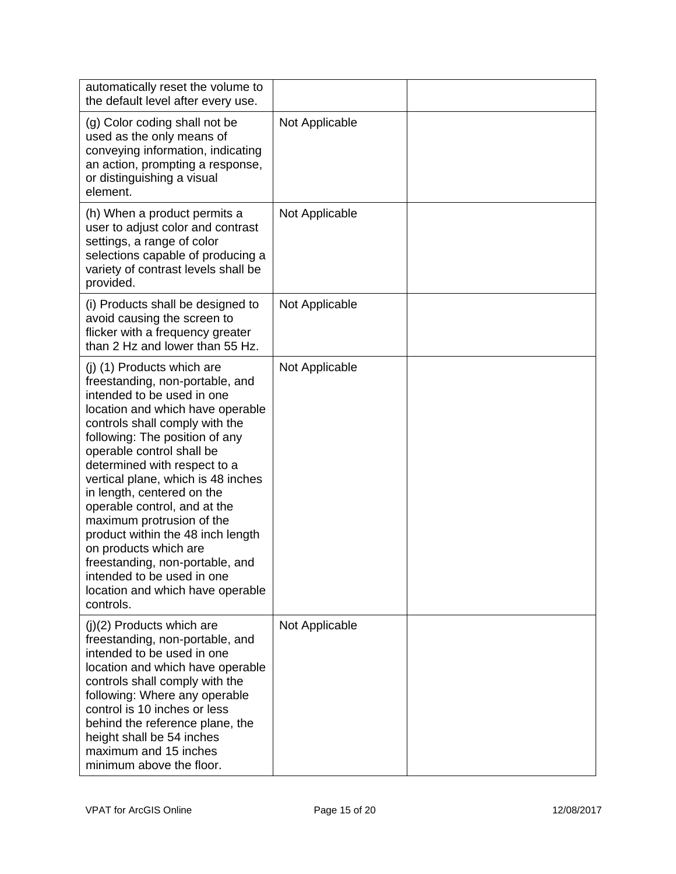| automatically reset the volume to<br>the default level after every use.                                                                                                                                                                                                                                                                                                                                                                                                                                                                                                           |                |  |
|-----------------------------------------------------------------------------------------------------------------------------------------------------------------------------------------------------------------------------------------------------------------------------------------------------------------------------------------------------------------------------------------------------------------------------------------------------------------------------------------------------------------------------------------------------------------------------------|----------------|--|
| (g) Color coding shall not be<br>used as the only means of<br>conveying information, indicating<br>an action, prompting a response,<br>or distinguishing a visual<br>element.                                                                                                                                                                                                                                                                                                                                                                                                     | Not Applicable |  |
| (h) When a product permits a<br>user to adjust color and contrast<br>settings, a range of color<br>selections capable of producing a<br>variety of contrast levels shall be<br>provided.                                                                                                                                                                                                                                                                                                                                                                                          | Not Applicable |  |
| (i) Products shall be designed to<br>avoid causing the screen to<br>flicker with a frequency greater<br>than 2 Hz and lower than 55 Hz.                                                                                                                                                                                                                                                                                                                                                                                                                                           | Not Applicable |  |
| (j) (1) Products which are<br>freestanding, non-portable, and<br>intended to be used in one<br>location and which have operable<br>controls shall comply with the<br>following: The position of any<br>operable control shall be<br>determined with respect to a<br>vertical plane, which is 48 inches<br>in length, centered on the<br>operable control, and at the<br>maximum protrusion of the<br>product within the 48 inch length<br>on products which are<br>freestanding, non-portable, and<br>intended to be used in one<br>location and which have operable<br>controls. | Not Applicable |  |
| $(i)(2)$ Products which are<br>freestanding, non-portable, and<br>intended to be used in one<br>location and which have operable<br>controls shall comply with the<br>following: Where any operable<br>control is 10 inches or less<br>behind the reference plane, the<br>height shall be 54 inches<br>maximum and 15 inches<br>minimum above the floor.                                                                                                                                                                                                                          | Not Applicable |  |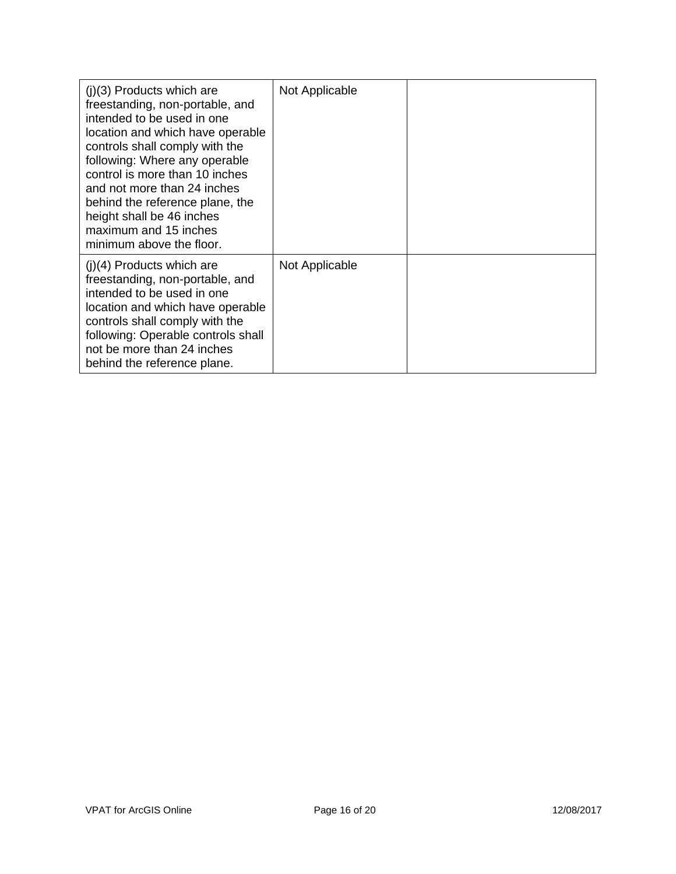| $(i)(3)$ Products which are<br>freestanding, non-portable, and<br>intended to be used in one<br>location and which have operable<br>controls shall comply with the<br>following: Where any operable<br>control is more than 10 inches<br>and not more than 24 inches<br>behind the reference plane, the<br>height shall be 46 inches<br>maximum and 15 inches<br>minimum above the floor. | Not Applicable |  |
|-------------------------------------------------------------------------------------------------------------------------------------------------------------------------------------------------------------------------------------------------------------------------------------------------------------------------------------------------------------------------------------------|----------------|--|
| $(j)(4)$ Products which are<br>freestanding, non-portable, and<br>intended to be used in one<br>location and which have operable<br>controls shall comply with the<br>following: Operable controls shall<br>not be more than 24 inches<br>behind the reference plane.                                                                                                                     | Not Applicable |  |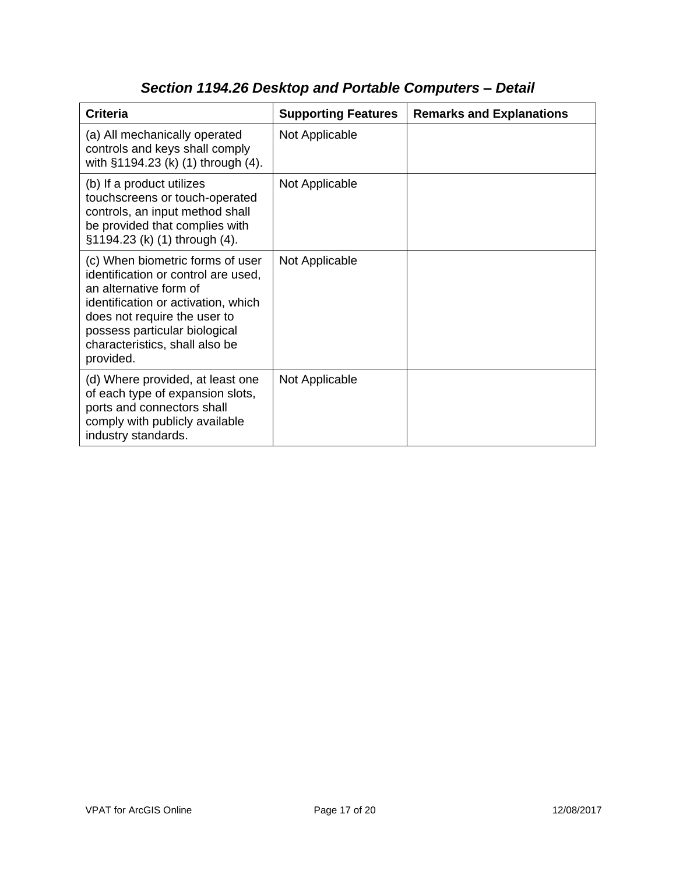| <b>Criteria</b>                                                                                                                                                                                                                                          | <b>Supporting Features</b> | <b>Remarks and Explanations</b> |
|----------------------------------------------------------------------------------------------------------------------------------------------------------------------------------------------------------------------------------------------------------|----------------------------|---------------------------------|
| (a) All mechanically operated<br>controls and keys shall comply<br>with §1194.23 (k) (1) through (4).                                                                                                                                                    | Not Applicable             |                                 |
| (b) If a product utilizes<br>touchscreens or touch-operated<br>controls, an input method shall<br>be provided that complies with<br>§1194.23 (k) (1) through (4).                                                                                        | Not Applicable             |                                 |
| (c) When biometric forms of user<br>identification or control are used,<br>an alternative form of<br>identification or activation, which<br>does not require the user to<br>possess particular biological<br>characteristics, shall also be<br>provided. | Not Applicable             |                                 |
| (d) Where provided, at least one<br>of each type of expansion slots,<br>ports and connectors shall<br>comply with publicly available<br>industry standards.                                                                                              | Not Applicable             |                                 |

## *Section 1194.26 Desktop and Portable Computers – Detail*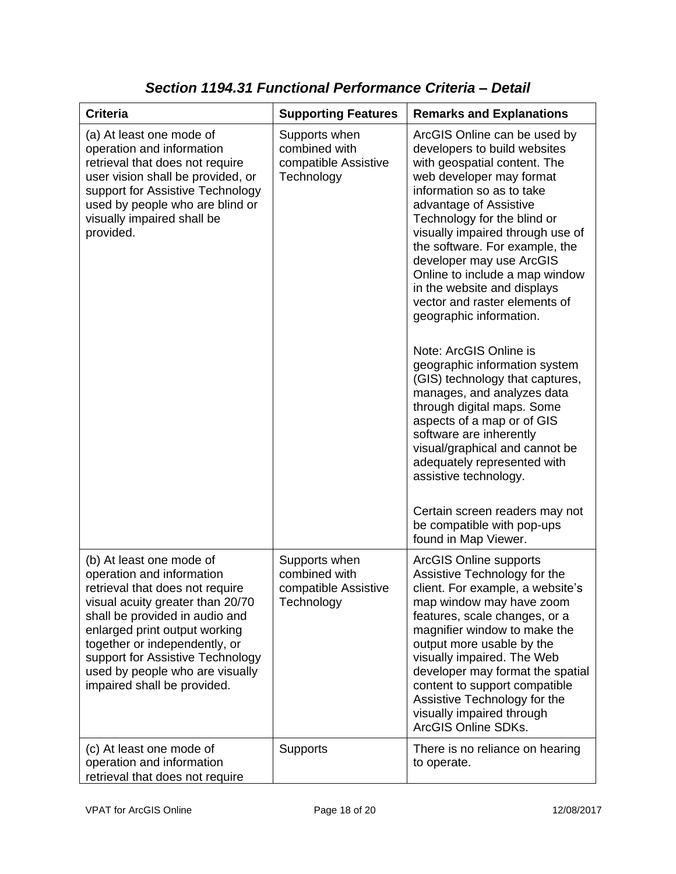| <b>Criteria</b>                                                                                                                                                                                                                                                                                                                        | <b>Supporting Features</b>                                           | <b>Remarks and Explanations</b>                                                                                                                                                                                                                                                                                                                                                                                                                                                                                                                                                                                                                                                                                                                                                                                                                    |
|----------------------------------------------------------------------------------------------------------------------------------------------------------------------------------------------------------------------------------------------------------------------------------------------------------------------------------------|----------------------------------------------------------------------|----------------------------------------------------------------------------------------------------------------------------------------------------------------------------------------------------------------------------------------------------------------------------------------------------------------------------------------------------------------------------------------------------------------------------------------------------------------------------------------------------------------------------------------------------------------------------------------------------------------------------------------------------------------------------------------------------------------------------------------------------------------------------------------------------------------------------------------------------|
| (a) At least one mode of<br>operation and information<br>retrieval that does not require<br>user vision shall be provided, or<br>support for Assistive Technology<br>used by people who are blind or<br>visually impaired shall be<br>provided.                                                                                        | Supports when<br>combined with<br>compatible Assistive<br>Technology | ArcGIS Online can be used by<br>developers to build websites<br>with geospatial content. The<br>web developer may format<br>information so as to take<br>advantage of Assistive<br>Technology for the blind or<br>visually impaired through use of<br>the software. For example, the<br>developer may use ArcGIS<br>Online to include a map window<br>in the website and displays<br>vector and raster elements of<br>geographic information.<br>Note: ArcGIS Online is<br>geographic information system<br>(GIS) technology that captures,<br>manages, and analyzes data<br>through digital maps. Some<br>aspects of a map or of GIS<br>software are inherently<br>visual/graphical and cannot be<br>adequately represented with<br>assistive technology.<br>Certain screen readers may not<br>be compatible with pop-ups<br>found in Map Viewer. |
| (b) At least one mode of<br>operation and information<br>retrieval that does not require<br>visual acuity greater than 20/70<br>shall be provided in audio and<br>enlarged print output working<br>together or independently, or<br>support for Assistive Technology<br>used by people who are visually<br>impaired shall be provided. | Supports when<br>combined with<br>compatible Assistive<br>Technology | <b>ArcGIS Online supports</b><br>Assistive Technology for the<br>client. For example, a website's<br>map window may have zoom<br>features, scale changes, or a<br>magnifier window to make the<br>output more usable by the<br>visually impaired. The Web<br>developer may format the spatial<br>content to support compatible<br>Assistive Technology for the<br>visually impaired through<br>ArcGIS Online SDKs.                                                                                                                                                                                                                                                                                                                                                                                                                                 |
| (c) At least one mode of<br>operation and information<br>retrieval that does not require                                                                                                                                                                                                                                               | Supports                                                             | There is no reliance on hearing<br>to operate.                                                                                                                                                                                                                                                                                                                                                                                                                                                                                                                                                                                                                                                                                                                                                                                                     |

*Section 1194.31 Functional Performance Criteria – Detail*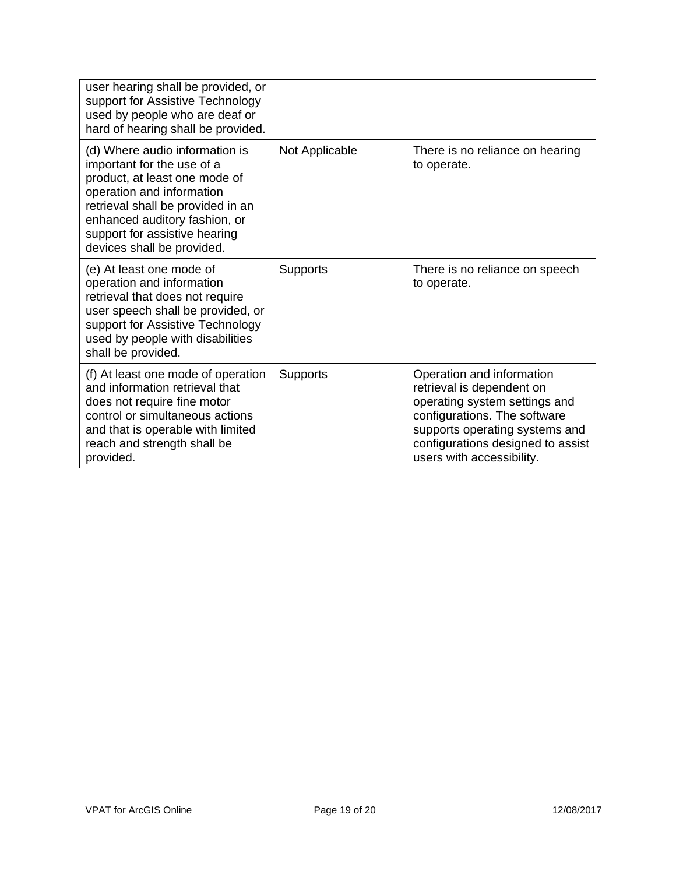| user hearing shall be provided, or<br>support for Assistive Technology<br>used by people who are deaf or<br>hard of hearing shall be provided.                                                                                                                  |                 |                                                                                                                                                                                                                             |
|-----------------------------------------------------------------------------------------------------------------------------------------------------------------------------------------------------------------------------------------------------------------|-----------------|-----------------------------------------------------------------------------------------------------------------------------------------------------------------------------------------------------------------------------|
| (d) Where audio information is<br>important for the use of a<br>product, at least one mode of<br>operation and information<br>retrieval shall be provided in an<br>enhanced auditory fashion, or<br>support for assistive hearing<br>devices shall be provided. | Not Applicable  | There is no reliance on hearing<br>to operate.                                                                                                                                                                              |
| (e) At least one mode of<br>operation and information<br>retrieval that does not require<br>user speech shall be provided, or<br>support for Assistive Technology<br>used by people with disabilities<br>shall be provided.                                     | <b>Supports</b> | There is no reliance on speech<br>to operate.                                                                                                                                                                               |
| (f) At least one mode of operation<br>and information retrieval that<br>does not require fine motor<br>control or simultaneous actions<br>and that is operable with limited<br>reach and strength shall be<br>provided.                                         | Supports        | Operation and information<br>retrieval is dependent on<br>operating system settings and<br>configurations. The software<br>supports operating systems and<br>configurations designed to assist<br>users with accessibility. |